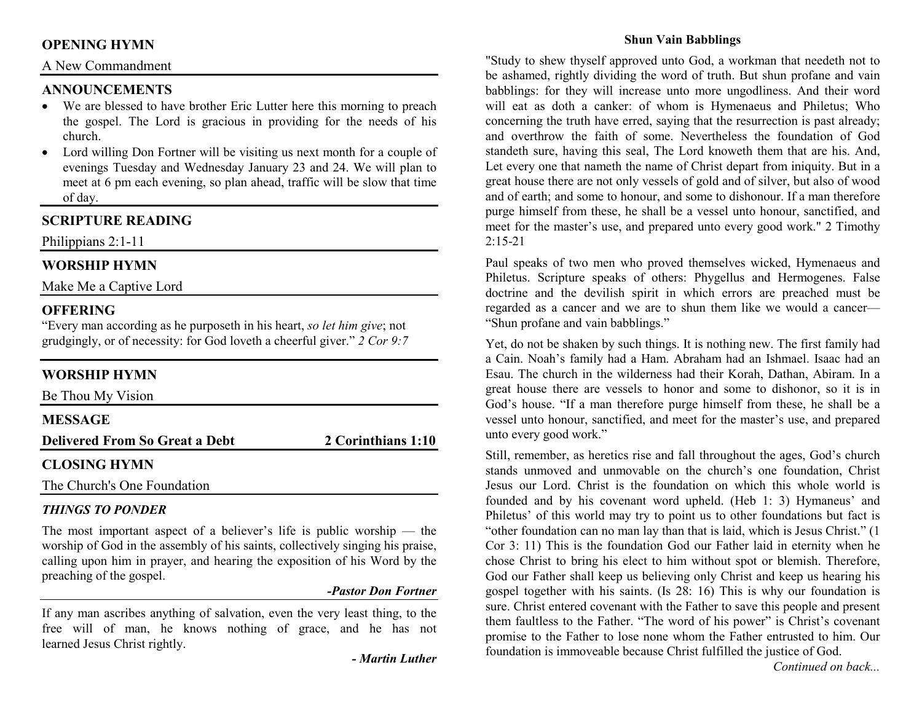## **OPENING HYMN**

### A New Commandment

### **ANNOUNCEMENTS**

- We are blessed to have brother Eric Lutter here this morning to preach the gospel. The Lord is gracious in providing for the needs of his church.
- Lord willing Don Fortner will be visiting us next month for a couple of •evenings Tuesday and Wednesday January 23 and 24. We will plan to meet at 6 pm each evening, so plan ahead, traffic will be slow that time of day.

## **SCRIPTURE READING**

Philippians 2:1-11

### **WORSHIP HYMN**

Make Me a Captive Lord

### **OFFERING**

 "Every man according as he purposeth in his heart, *so let him give*; not grudgingly, or of necessity: for God loveth a cheerful giver." *2 Cor 9:7*

## **WORSHIP HYMN**

| Be Thou My Vision                     |                    |
|---------------------------------------|--------------------|
| <b>MESSAGE</b>                        |                    |
| <b>Delivered From So Great a Debt</b> | 2 Corinthians 1:10 |
| <b>CLOSING HYMN</b>                   |                    |
|                                       |                    |

The Church's One Foundation

### *THINGS TO PONDER*

 The most important aspect of a believer's life is public worship — the worship of God in the assembly of his saints, collectively singing his praise, calling upon him in prayer, and hearing the exposition of his Word by the preaching of the gospel.

### *-Pastor Don Fortner*

If any man ascribes anything of salvation, even the very least thing, to the free will of man, he knows nothing of grace, and he has not learned Jesus Christ rightly.

*- Martin Luther*

### **Shun Vain Babblings**

"Study to shew thyself approved unto God, a workman that needeth not to be ashamed, rightly dividing the word of truth. But shun profane and vain babblings: for they will increase unto more ungodliness. And their word will eat as doth a canker: of whom is Hymenaeus and Philetus; Who concerning the truth have erred, saying that the resurrection is past already; and overthrow the faith of some. Nevertheless the foundation of God standeth sure, having this seal, The Lord knoweth them that are his. And, Let every one that nameth the name of Christ depart from iniquity. But in a great house there are not only vessels of gold and of silver, but also of wood and of earth; and some to honour, and some to dishonour. If a man therefore purge himself from these, he shall be a vessel unto honour, sanctified, and meet for the master's use, and prepared unto every good work." 2 Timothy  $2:15-21$ 

Paul speaks of two men who proved themselves wicked, Hymenaeus and Philetus. Scripture speaks of others: Phygellus and Hermogenes. False doctrine and the devilish spirit in which errors are preached must be regarded as a cancer and we are to shun them like we would a cancer—"Shun profane and vain babblings."

Yet, do not be shaken by such things. It is nothing new. The first family had a Cain. Noah's family had a Ham. Abraham had an Ishmael. Isaac had an Esau. The church in the wilderness had their Korah, Dathan, Abiram. In a great house there are vessels to honor and some to dishonor, so it is in God's house. "If a man therefore purge himself from these, he shall be a vessel unto honour, sanctified, and meet for the master's use, and prepared unto every good work."

Still, remember, as heretics rise and fall throughout the ages, God's church stands unmoved and unmovable on the church's one foundation, Christ Jesus our Lord. Christ is the foundation on which this whole world is founded and by his covenant word upheld. (Heb 1: 3) Hymaneus' and Philetus' of this world may try to point us to other foundations but fact is "other foundation can no man lay than that is laid, which is Jesus Christ." (1 Cor 3: 11) This is the foundation God our Father laid in eternity when he chose Christ to bring his elect to him without spot or blemish. Therefore, God our Father shall keep us believing only Christ and keep us hearing his gospel together with his saints. (Is 28: 16) This is why our foundation is sure. Christ entered covenant with the Father to save this people and present them faultless to the Father. "The word of his power" is Christ's covenant promise to the Father to lose none whom the Father entrusted to him. Our foundation is immoveable because Christ fulfilled the justice of God.

*Continued on back...*